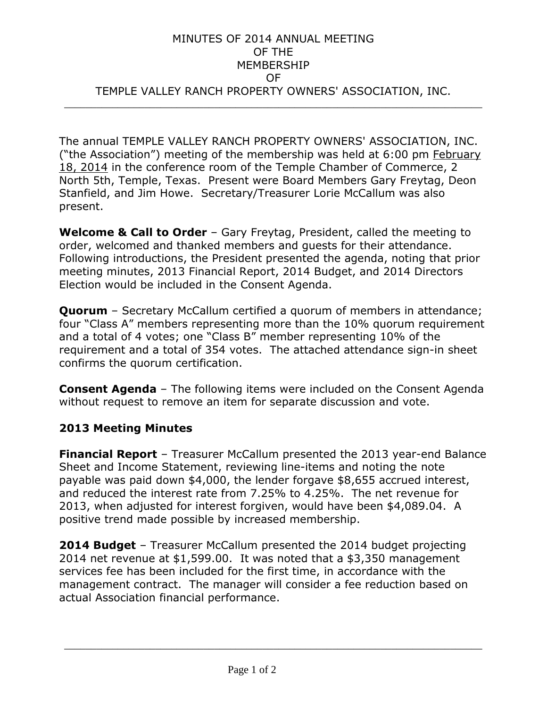## MINUTES OF 2014 ANNUAL MEETING OF THE MEMBERSHIP OF TEMPLE VALLEY RANCH PROPERTY OWNERS' ASSOCIATION, INC. \_\_\_\_\_\_\_\_\_\_\_\_\_\_\_\_\_\_\_\_\_\_\_\_\_\_\_\_\_\_\_\_\_\_\_\_\_\_\_\_\_\_\_\_\_\_\_\_\_\_\_\_\_\_\_\_\_\_\_\_\_\_\_\_\_\_\_\_\_\_\_\_\_\_\_\_\_\_

The annual TEMPLE VALLEY RANCH PROPERTY OWNERS' ASSOCIATION, INC. ("the Association") meeting of the membership was held at 6:00 pm February 18, 2014 in the conference room of the Temple Chamber of Commerce, 2 North 5th, Temple, Texas. Present were Board Members Gary Freytag, Deon Stanfield, and Jim Howe. Secretary/Treasurer Lorie McCallum was also present.

**Welcome & Call to Order** – Gary Freytag, President, called the meeting to order, welcomed and thanked members and guests for their attendance. Following introductions, the President presented the agenda, noting that prior meeting minutes, 2013 Financial Report, 2014 Budget, and 2014 Directors Election would be included in the Consent Agenda.

**Quorum** – Secretary McCallum certified a quorum of members in attendance; four "Class A" members representing more than the 10% quorum requirement and a total of 4 votes; one "Class B" member representing 10% of the requirement and a total of 354 votes. The attached attendance sign-in sheet confirms the quorum certification.

**Consent Agenda** – The following items were included on the Consent Agenda without request to remove an item for separate discussion and vote.

## **2013 Meeting Minutes**

**Financial Report** – Treasurer McCallum presented the 2013 year-end Balance Sheet and Income Statement, reviewing line-items and noting the note payable was paid down \$4,000, the lender forgave \$8,655 accrued interest, and reduced the interest rate from 7.25% to 4.25%. The net revenue for 2013, when adjusted for interest forgiven, would have been \$4,089.04. A positive trend made possible by increased membership.

**2014 Budget** – Treasurer McCallum presented the 2014 budget projecting 2014 net revenue at \$1,599.00. It was noted that a \$3,350 management services fee has been included for the first time, in accordance with the management contract. The manager will consider a fee reduction based on actual Association financial performance.

\_\_\_\_\_\_\_\_\_\_\_\_\_\_\_\_\_\_\_\_\_\_\_\_\_\_\_\_\_\_\_\_\_\_\_\_\_\_\_\_\_\_\_\_\_\_\_\_\_\_\_\_\_\_\_\_\_\_\_\_\_\_\_\_\_\_\_\_\_\_\_\_\_\_\_\_\_\_